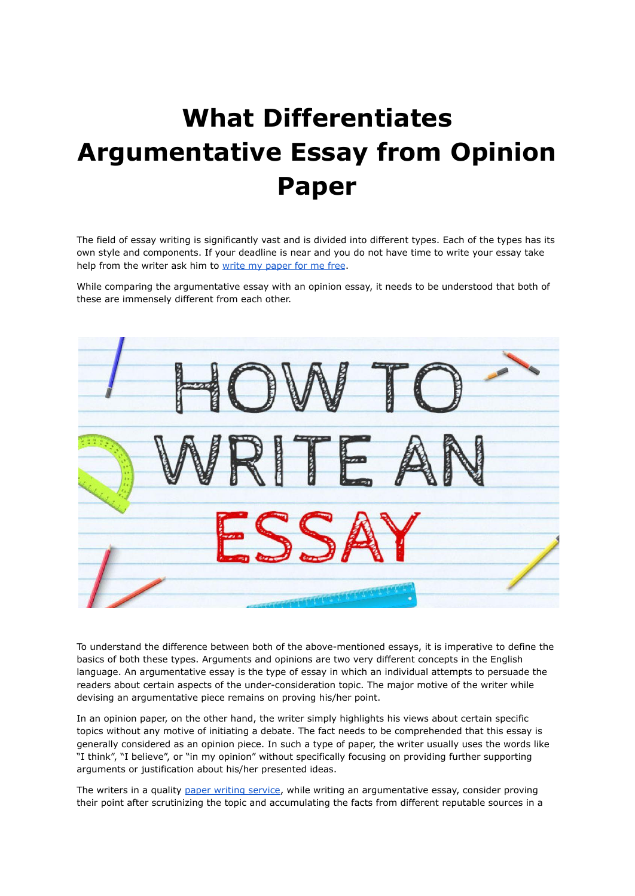## **What Differentiates Argumentative Essay from Opinion Paper**

The field of essay writing is significantly vast and is divided into different types. Each of the types has its own style and components. If your deadline is near and you do not have time to write your essay take help from the writer ask him to write my [paper](https://www.collegeessay.org/) for me free.

While comparing the argumentative essay with an opinion essay, it needs to be understood that both of these are immensely different from each other.



To understand the difference between both of the above-mentioned essays, it is imperative to define the basics of both these types. Arguments and opinions are two very different concepts in the English language. An argumentative essay is the type of essay in which an individual attempts to persuade the readers about certain aspects of the under-consideration topic. The major motive of the writer while devising an argumentative piece remains on proving his/her point.

In an opinion paper, on the other hand, the writer simply highlights his views about certain specific topics without any motive of initiating a debate. The fact needs to be comprehended that this essay is generally considered as an opinion piece. In such a type of paper, the writer usually uses the words like "I think", "I believe", or "in my opinion" without specifically focusing on providing further supporting arguments or justification about his/her presented ideas.

The writers in a quality paper writing [service](https://www.5staressays.com/), while writing an argumentative essay, consider proving their point after scrutinizing the topic and accumulating the facts from different reputable sources in a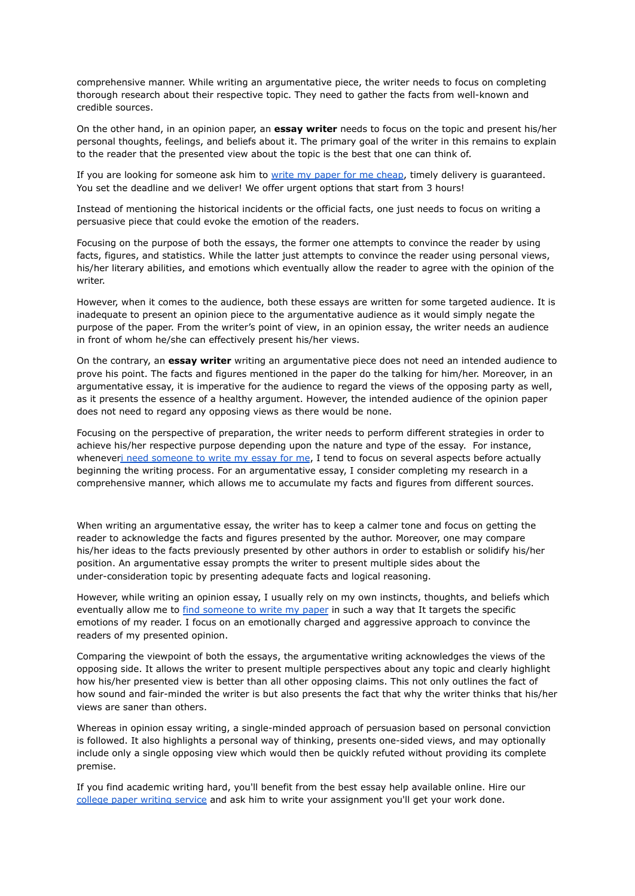comprehensive manner. While writing an argumentative piece, the writer needs to focus on completing thorough research about their respective topic. They need to gather the facts from well-known and credible sources.

On the other hand, in an opinion paper, an **essay writer** needs to focus on the topic and present his/her personal thoughts, feelings, and beliefs about it. The primary goal of the writer in this remains to explain to the reader that the presented view about the topic is the best that one can think of.

If you are looking for someone ask him to write my paper for me [cheap,](https://www.writemyessay.help/) timely delivery is guaranteed. You set the deadline and we deliver! We offer urgent options that start from 3 hours!

Instead of mentioning the historical incidents or the official facts, one just needs to focus on writing a persuasive piece that could evoke the emotion of the readers.

Focusing on the purpose of both the essays, the former one attempts to convince the reader by using facts, figures, and statistics. While the latter just attempts to convince the reader using personal views, his/her literary abilities, and emotions which eventually allow the reader to agree with the opinion of the writer.

However, when it comes to the audience, both these essays are written for some targeted audience. It is inadequate to present an opinion piece to the argumentative audience as it would simply negate the purpose of the paper. From the writer's point of view, in an opinion essay, the writer needs an audience in front of whom he/she can effectively present his/her views.

On the contrary, an **essay writer** writing an argumentative piece does not need an intended audience to prove his point. The facts and figures mentioned in the paper do the talking for him/her. Moreover, in an argumentative essay, it is imperative for the audience to regard the views of the opposing party as well, as it presents the essence of a healthy argument. However, the intended audience of the opinion paper does not need to regard any opposing views as there would be none.

Focusing on the perspective of preparation, the writer needs to perform different strategies in order to achieve his/her respective purpose depending upon the nature and type of the essay. For instance, wheneveri need [someone](https://www.writemyessay.help/) to write my essay for me, I tend to focus on several aspects before actually beginning the writing process. For an argumentative essay, I consider completing my research in a comprehensive manner, which allows me to accumulate my facts and figures from different sources.

When writing an argumentative essay, the writer has to keep a calmer tone and focus on getting the reader to acknowledge the facts and figures presented by the author. Moreover, one may compare his/her ideas to the facts previously presented by other authors in order to establish or solidify his/her position. An argumentative essay prompts the writer to present multiple sides about the under-consideration topic by presenting adequate facts and logical reasoning.

However, while writing an opinion essay, I usually rely on my own instincts, thoughts, and beliefs which eventually allow me to find [someone](https://www.collegeessay.org/write-my-paper) to write my paper in such a way that It targets the specific emotions of my reader. I focus on an emotionally charged and aggressive approach to convince the readers of my presented opinion.

Comparing the viewpoint of both the essays, the argumentative writing acknowledges the views of the opposing side. It allows the writer to present multiple perspectives about any topic and clearly highlight how his/her presented view is better than all other opposing claims. This not only outlines the fact of how sound and fair-minded the writer is but also presents the fact that why the writer thinks that his/her views are saner than others.

Whereas in opinion essay writing, a single-minded approach of persuasion based on personal conviction is followed. It also highlights a personal way of thinking, presents one-sided views, and may optionally include only a single opposing view which would then be quickly refuted without providing its complete premise.

If you find academic writing hard, you'll benefit from the best essay help available online. Hire our college paper writing [service](https://www.myperfectpaper.net/) and ask him to write your assignment you'll get your work done.